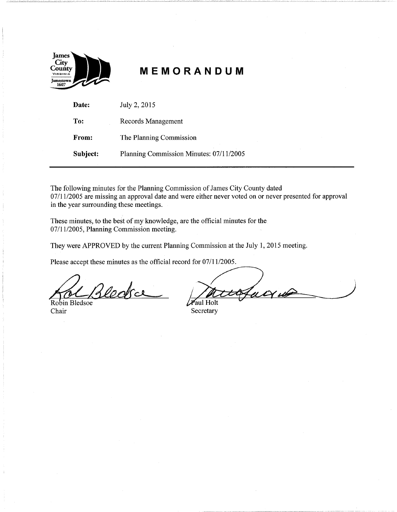

# **MEMORANDUM**

- -~ -~- --"-·~-------- , \_\_\_\_ ,. \_\_\_ , \_\_\_\_\_\_\_\_\_\_\_ ---~------------------- - ~-------·~-~-~------· -----"---------- - ---- ------------------------~- ------ --~------~-----" --

| Date:    | July 2, 2015                            |
|----------|-----------------------------------------|
| To:      | Records Management                      |
| From:    | The Planning Commission                 |
| Subject: | Planning Commission Minutes: 07/11/2005 |

The following minutes for the Planning Commission of James City County dated 07/11/2005 are missing an approval date and were either never voted on or never presented for approval in the year surrounding these meetings.

These minutes, to the best of my knowledge, are the official minutes for the 07/11/2005, Planning Commission meeting.

They were APPROVED by the current Planning Commission at the July 1, 2015 meeting.

Please accept these minutes as the official record for 07/11/2005.

Robin Blessoe<br>Chair

Paul Holt

Secretary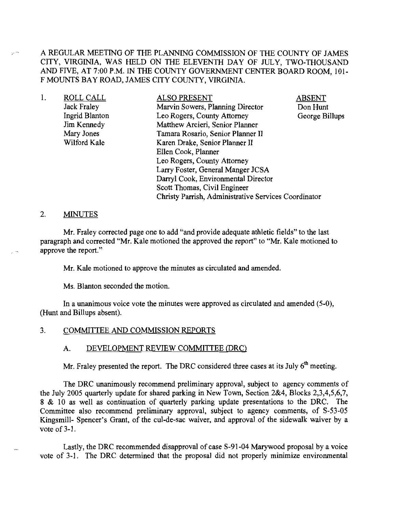A REGULAR MEETING OF THE PLANNING COMMISSION OF THE COUNTY OF JAMES CITY, VIRGINIA, WAS HELD ON THE ELEVENTH DAY OF JULY, TWO-THOUSAND AND FIVE, AT 7:00 P.M. IN THE COUNTY GOVERNMENT CENTER BOARD ROOM, 101- F MOUNTS BAY ROAD, JAMES CITY COUNTY, VIRGINIA.

| <b>ROLL CALL</b> | <b>ALSO PRESENT</b>                                  | ABSENT         |
|------------------|------------------------------------------------------|----------------|
| Jack Fraley      | Marvin Sowers, Planning Director                     | Don Hunt       |
| Ingrid Blanton   | Leo Rogers, County Attorney                          | George Billups |
| Jim Kennedy      | Matthew Arcieri, Senior Planner                      |                |
| Mary Jones       | Tamara Rosario, Senior Planner II                    |                |
| Wilford Kale     | Karen Drake, Senior Planner II                       |                |
|                  | Ellen Cook, Planner                                  |                |
|                  | Leo Rogers, County Attorney                          |                |
|                  | Larry Foster, General Manger JCSA                    |                |
|                  | Darryl Cook, Environmental Director                  |                |
|                  | Scott Thomas, Civil Engineer                         |                |
|                  | Christy Parrish, Administrative Services Coordinator |                |
|                  |                                                      |                |

# 2. MINUTES

Mr. Fraley corrected page one to add "and provide adequate athletic fields" to the last paragraph and corrected "Mr. Kale motioned the approved the report" to "Mr. Kale motioned to approve the report."

Mr. Kale motioned to approve the minutes as circulated and amended.

Ms. Blanton seconded the motion.

In a unanimous voice vote the minutes were approved as circulated and amended (5-0), (Hunt and Billups absent).

#### 3. COMMITTEE AND COMMISSION REPORTS

# A. DEVELOPMENT REVIEW COMMITTEE (DRC)

Mr. Fraley presented the report. The DRC considered three cases at its July  $6<sup>th</sup>$  meeting.

The DRC unanimously recommend preliminary approval, subject to agency comments of the July 2005 quarterly update for shared parking in New Town, Section 2&4, Blocks 2,3,4,5,6,7, 8 & 10 as well as continuation of quarterly parking update presentations to the DRC. The Committee also recommend preliminary approval, subject to agency comments, of S-53-05 Kingsmill- Spencer's Grant, of the cul-de-sac waiver, and approval of the sidewalk waiver by a vote of  $3-1$ .

Lastly, the DRC recommended disapproval of case S-91-04 Marywood proposal by a voice vote of 3-1. The DRC determined that the proposal did not properly minimize environmental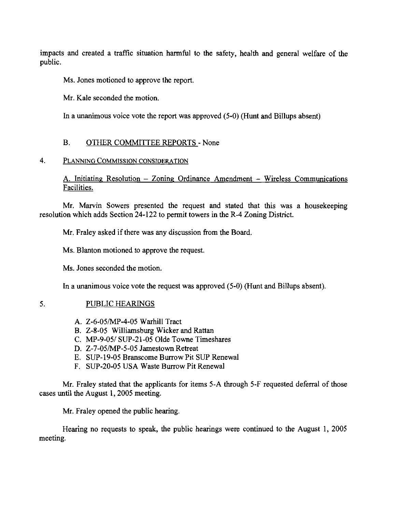impacts and created a traffic situation harmful to the safety, health and general welfare of the public.

Ms. Jones motioned to approve the report.

Mr. Kale seconded the motion.

In a unanimous voice vote the report was approved (5-0) (Hunt and Billups absent)

# B. OTHER COMMITTEE REPORTS - None

# 4. PLANNING COMMISSION CONSIDERATION

A. Initiating Resolution - Zoning Ordinance Amendment - Wireless Communications Facilities.

Mr. Marvin Sowers presented the request and stated that this was a housekeeping resolution which adds Section 24-122 to permit towers in the R-4 Zoning District.

Mr. Fraley asked if there was any discussion from the Board.

Ms. Blanton motioned to approve the request.

Ms. Jones seconded the motion.

In a unanimous voice vote the request was approved (5-0) (Hunt and Billups absent).

# 5. PUBLIC HEARINGS

- A. Z-6-05/MP-4-05 Warhill Tract
- B. Z-8-05 Williamsburg Wicker and Rattan
- C. MP-9-05/ SUP-21-05 Olde Towne Timeshares
- D. Z-7-05/MP-5-05 Jamestown Retreat
- E. SUP-19-05 Branscome Burrow Pit SUP Renewal
- F. SUP-20-05 USA Waste Burrow Pit Renewal

Mr. Fraley stated that the applicants for items 5-A through 5-F requested deferral of those cases until the August I, 2005 meeting.

Mr. Fraley opened the public hearing.

Hearing no requests to speak, the public hearings were continued to the August I, 2005 meeting.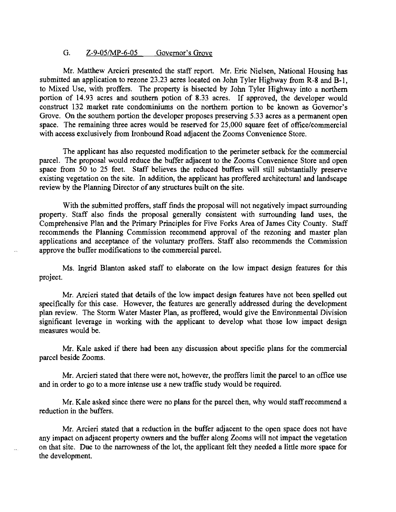# G. Z-9-05/MP-6-05 Governor's Grove

Mr. Matthew Arcieri presented the staff report. Mr. Eric Nielsen, National Housing has submitted an application to rezone 23.23 acres located on John Tyler Highway from R-8 and B-1, to Mixed Use, with proffers. The property is bisected by John Tyler Highway into a northern portion of 14.93 acres and southern potion of 8.33 acres. If approved, the developer would construct 132 market rate condominiums on the northern portion to be known as Governor's Grove. On the southern portion the developer proposes preserving 5.33 acres as a permanent open space. The remaining three acres would be reserved for 25,000 square feet of office/commercial with access exclusively from Ironbound Road adjacent the Zooms Convenience Store.

The applicant has also requested modification to the perimeter setback for the commercial parcel. The proposal would reduce the buffer adjacent to the Zooms Convenience Store and open space from 50 to 25 feet. Staff believes the reduced buffers will still substantially preserve existing vegetation on the site. In addition, the applicant has proffered architectural and landscape review by the Planning Director of any structures built on the site.

With the submitted proffers, staff finds the proposal will not negatively impact surrounding property. Staff also finds the proposal generally consistent with surrounding land uses, the Comprehensive Plan and the Primary Principles for Five Forks Area of James City County. Staff recommends the Planning Commission recommend approval of the rezoning and master plan applications and acceptance of the voluntary proffers. Staff also recommends the Commission approve the buffer modifications to the commercial parcel.

Ms. Ingrid Blanton asked staff to elaborate on the low impact design features for this project.

Mr. Arcieri stated that details of the low impact design features have not been spelled out specifically for this case. However, the features are generally addressed during the development plan review. The Storm Water Master Plan, as proffered, would give the Environmental Division significant leverage in working with the applicant to develop what those low impact design measures would be.

Mr. Kale asked if there had been any discussion about specific plans for the commercial parcel beside Zooms.

Mr. Arcieri stated that there were not, however, the proffers limit the parcel to an office use and in order to go to a more intense use a new traffic study would be required.

Mr. Kale asked since there were no plans for the parcel then, why would staffrecommend a reduction in the buffers.

Mr. Arcieri stated that a reduction in the buffer adjacent to the open space does not have any impact on adjacent property owners and the buffer along Zooms will not impact the vegetation on that site. Due to the narrowness of the lot, the applicant felt they needed a little more space for the development.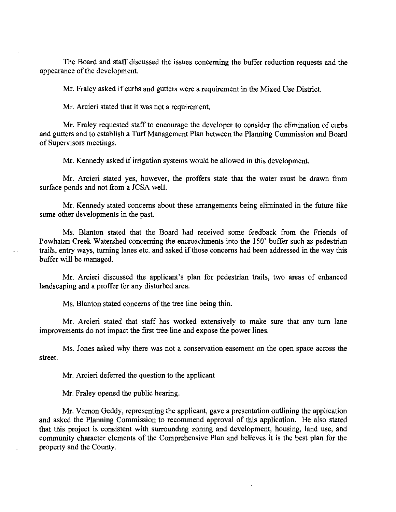The Board and staff discussed the issues concerning the buffer reduction requests and the appearance of the development.

Mr. Fraley asked if curbs and gutters were a requirement in the Mixed Use District.

Mr. Arcieri stated that it was not a requirement.

Mr. Fraley requested staff to encourage the developer to consider the elimination of curbs and gutters and to establish a Turf Management Plan between the Planning Commission and Board of Supervisors meetings.

Mr. Kennedy asked if irrigation systems would be allowed in this development.

Mr. Arcieri stated yes, however, the proffers state that the water must be drawn from surface ponds and not from a JCSA well.

Mr. Kennedy stated concerns about these arrangements being eliminated in the future like some other developments in the past.

Ms. Blanton stated that the Board had received some feedback from the Friends of Powhatan Creek Watershed concerning the encroachments into the 150' buffer such as pedestrian trails, entry ways, turning lanes etc. and asked if those concerns had been addressed in the way this buffer will be managed.

Mr. Arcieri discussed the applicant's plan for pedestrian trails, two areas of enhanced landscaping and a proffer for any disturbed area.

Ms. Blanton stated concerns of the tree line being thin.

Mr. Arcieri stated that staff has worked extensively to make sure that any turn lane improvements do not impact the first tree line and expose the power lines.

Ms. Jones asked why there was not a conservation easement on the open space across the street.

Mr. Arcieri deferred the question to the applicant

Mr. Fraley opened the public hearing.

Mr. Vernon Geddy, representing the applicant, gave a presentation outlining the application and asked the Planning Commission to recommend approval of this application. He also stated that this project is consistent with surrounding zoning and development, housing, land use, and community character elements of the Comprehensive Plan and believes it is the best plan for the property and the County.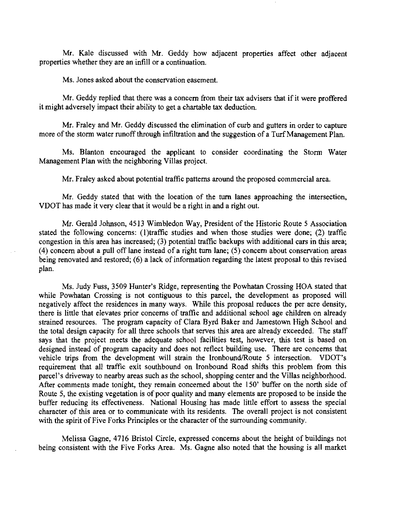Mr. Kale discussed with Mr. Geddy how adjacent properties affect other adjacent properties whether they are an infill or a continuation.

Ms. Jones asked about the conservation easement.

Mr. Geddy replied that there was a concern from their tax advisers that if it were proffered it might adversely impact their ability to get a chartable tax deduction.

Mr. Fraley and Mr. Geddy discussed the elimination of curb and gutters in order to capture more of the storm water runoff through infiltration and the suggestion of a Turf Management Plan.

Ms. Blanton encouraged the applicant to consider coordinating the Storm Water Management Plan with the neighboring Villas project.

Mr. Fraley asked about potential traffic patterns around the proposed commercial area.

Mr. Geddy stated that with the location of the tum lanes approaching the intersection, VDOT has made it very clear that it would be a right in and a right out.

Mr. Gerald Johnson, 4513 Wimbledon Way, President of the Historic Route 5 Association stated the following concerns: (I)traffic studies and when those studies were done; (2) traffic congestion in this area has increased; (3) potential traffic backups with additional cars in this area; (4) concern about a pull off lane instead of a right tum lane; (5) concern about conservation areas being renovated and restored; (6) a lack of information regarding the latest proposal to this revised plan.

Ms. Judy Fuss, 3509 Hunter's Ridge, representing the Powhatan Crossing HOA stated that while Powhatan Crossing is not contiguous to this parcel, the development as proposed will negatively affect the residences in many ways. While this proposal reduces the per acre density, there is little that elevates prior concerns of traffic and additional school age children on already strained resources. The program capacity of Clara Byrd Baker and Jamestown High School and the total design capacity for all three schools that serves this area are already exceeded. The staff says that the project meets the adequate school facilities test, however, this test is based on designed instead of program capacity and does not reflect building use. There are concerns that vehicle trips from the development will strain the Ironbound/Route 5 intersection. VDOT's requirement that all traffic exit southbound on Ironbound Road shifts this problem from this parcel's driveway to nearby areas such as the school, shopping center and the Villas neighborhood. After comments made tonight, they remain concerned about the ISO' buffer on the north side of Route 5, the existing vegetation is of poor quality and many elements are proposed to be inside the buffer reducing its effectiveness. National Housing has made little effort to assess the special character of this area or to communicate with its residents. The overall project is not consistent with the spirit of Five Forks Principles or the character of the surrounding community.

Melissa Gagne, 4716 Bristol Circle, expressed concerns about the height of buildings not being consistent with the Five Forks Area. Ms. Gagne also noted that the housing is all market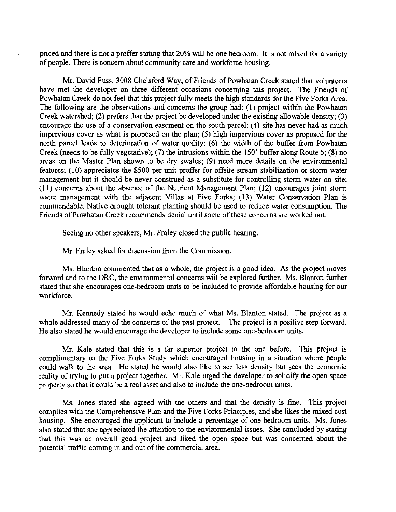priced and there is not a proffer stating that 20% will be one bedroom. It is not mixed for a variety of people. There is concern about community care and workforce housing.

Mr. David Fuss, 3008 Chelsford Way, of Friends of Powhatan Creek stated that volunteers have met the developer on three different occasions concerning this project. The Friends of Powhatan Creek do not feel that this project fully meets the high standards for the Five Forks Area. The following are the observations and concerns the group had: (1) project within the Powhatan Creek watershed; (2) prefers that the project be developed under the existing allowable density; (3) encourage the use of a conservation easement on the south parcel; (4) site has never had as much impervious cover as what is proposed on the plan; (5) high impervious cover as proposed for the north parcel leads to deterioration of water quality; (6) the width of the buffer from Powhatan Creek (needs to be fully vegetative); (7) the intrusions within the 150' buffer along Route 5; (8) no areas on the Master Plan shown to be dry swales; (9) need more details on the environmental features; (10) appreciates the \$500 per unit proffer for offsite stream stabilization or storm water management but it should be never construed as a substitute for controlling storm water on site; (11) concerns about the absence of the Nutrient Management Plan; (12) encourages joint storm water management with the adjacent Villas at Five Forks; (13) Water Conservation Plan is commendable. Native drought tolerant planting should be used to reduce water consumption. The Friends of Powhatan Creek recommends denial until some of these concerns are worked out.

Seeing no other speakers, Mr. Fraley closed the public hearing.

Mr. Fraley asked for discussion from the Commission.

الرابط

Ms. Blanton commented that as a whole, the project is a good idea. As the project moves forward and to the DRC, the environmental concerns will be explored further. Ms. Blanton further stated that she encourages one-bedroom units to be included to provide affordable housing for our workforce.

Mr. Kennedy stated he would echo much of what Ms. Blanton stated. The project as a whole addressed many of the concerns of the past project. The project is a positive step forward. He also stated he would encourage the developer to include some one-bedroom units.

Mr. Kale stated that this is a far superior project to the one before. This project is complimentary to the Five Forks Study which encouraged housing in a situation where people could walk to the area. He stated he would also like to see less density but sees the economic reality of trying to put a project together. Mr. Kale urged the developer to solidify the open space property so that it could be a real asset and also to include the one-bedroom units.

Ms. Jones stated she agreed with the others and that the density is fine. This project complies with the Comprehensive Plan and the Five Forks Principles, and she likes the mixed cost housing. She encouraged the applicant to include a percentage of one bedroom units. Ms. Jones also stated that she appreciated the attention to the environmental issues. She concluded by stating that this was an overall good project and liked the open space but was concerned about the potential traffic coming in and out of the commercial area.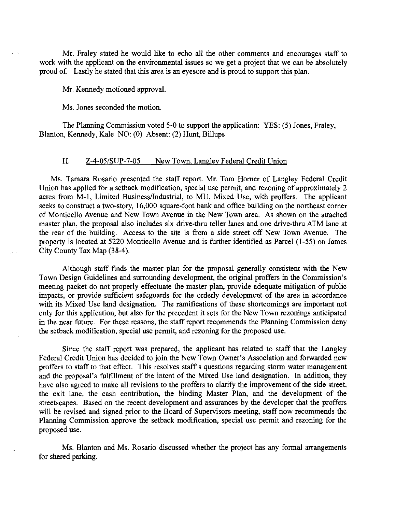Mr. Fraley stated he would like to echo all the other comments and encourages staff to work with the applicant on the environmental issues so we get a project that we can be absolutely proud of. Lastly he stated that this area is an eyesore and is proud to support this plan.

Mr. Kennedy motioned approval.

Ms. Jones seconded the motion.

The Planning Commission voted 5-0 to support the application: YES: (5) Jones, Fraley, Blanton, Kennedy, Kale NO: (0) Absent: (2) Hunt, Billups

# H. Z-4-05/SUP-7-05 New Town, Langley Federal Credit Union

Ms. Tamara Rosario presented the staff report. Mr. Tom Horner of Langley Federal Credit Union has applied for a setback modification, special use permit, and rezoning of approximately 2 acres from M-1, Limited Business/Industrial, to MU, Mixed Use, with proffers. The applicant seeks to construct a two-story, 16,000 square-foot bank and office building on the northeast corner of Monticello Avenue and New Town Avenue in the New Town area. As shown on the attached master plan, the proposal also includes six drive-thru teller lanes and one drive-thru ATM lane at the rear of the building. Access to the site is from a side street off New Town Avenue. The property is located at 5220 Monticello Avenue and is further identified as Parcel (I-55) on James City County Tax Map (38-4).

Although staff finds the master plan for the proposal generally consistent with the New Town Design Guidelines and surrounding development, the original proffers in the Commission's meeting packet do not properly effectuate the master plan, provide adequate mitigation of public impacts, or provide sufficient safeguards for the orderly development of the area in accordance with its Mixed Use land designation. The ramifications of these shortcomings are important not only for this application, but also for the precedent it sets for the New Town rezonings anticipated in the near future. For these reasons, the staff report recommends the Planning Commission deny the setback modification, special use permit, and rezoning for the proposed use.

Since the staff report was prepared, the applicant has related to staff that the Langley Federal Credit Union has decided to join the New Town Owner's Association and forwarded new proffers to staff to that effect. This resolves staff's questions regarding storm water management and the proposal's fulfillment of the intent of the Mixed Use land designation. In addition, they have also agreed to make all revisions to the proffers to clarify the improvement of the side street, the exit lane, the cash contribution, the binding Master Plan, and the development of the streetscapes. Based on the recent development and assurances by the developer that the proffers will be revised and signed prior to the Board of Supervisors meeting, staff now recommends the Planning Commission approve the setback modification, special use permit and rezoning for the proposed use.

Ms. Blanton and Ms. Rosario discussed whether the project has any formal arrangements for shared parking.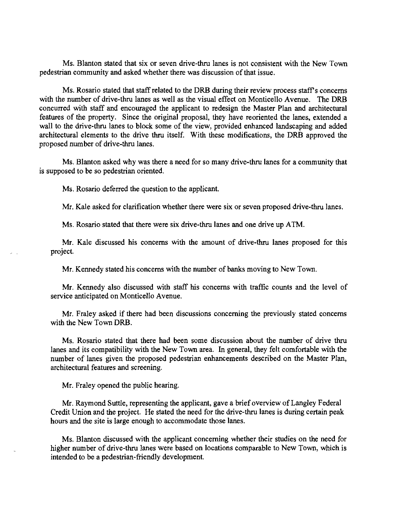Ms. Blanton stated that six or seven drive-thru lanes is not consistent with the New Town pedestrian community and asked whether there was discussion of that issue.

Ms. Rosario stated that staff related to the DRB during their review process staff's concerns with the number of drive-thru lanes as well as the visual effect on Monticello Avenue. The ORB concurred with staff and encouraged the applicant to redesign the Master Plan and architectural features of the property. Since the original proposal, they have reoriented the lanes, extended a wall to the drive-thru lanes to block some of the view, provided enhanced landscaping and added architectural elements to the drive thru itself. With these modifications, the ORB approved the proposed number of drive-thru lanes.

Ms. Blanton asked why was there a need for so many drive-thru lanes for a community that is supposed to be so pedestrian oriented.

Ms. Rosario deferred the question to the applicant.

Mr. Kale asked for clarification whether there were six or seven proposed drive-thru lanes.

Ms. Rosario stated that there were six drive-thru lanes and one drive up ATM.

Mr. Kale discussed his concerns with the amount of drive-thru lanes proposed for this project.

Mr. Kennedy stated his concerns with the number of banks moving to New Town.

Mr. Kennedy also discussed with staff his concerns with traffic counts and the level of service anticipated on Monticello Avenue.

Mr. Fraley asked if there had been discussions concerning the previously stated concerns with the New Town ORB.

Ms. Rosario stated that there had been some discussion about the number of drive thru lanes and its compatibility with the New Town area. In general, they felt comfortable with the number of lanes given the proposed pedestrian enhancements described on the Master Plan, architectural features and screening.

Mr. Fraley opened the public hearing.

Mr. Raymond Suttle, representing the applicant, gave a brief overview of Langley Federal Credit Union and the project. He stated the need for the drive-thru lanes is during certain peak hours and the site is large enough to accommodate those lanes.

Ms. Blanton discussed with the applicant concerning whether their studies on the need for higher number of drive-thru lanes were based on locations comparable to New Town, which is intended to be a pedestrian-friendly development.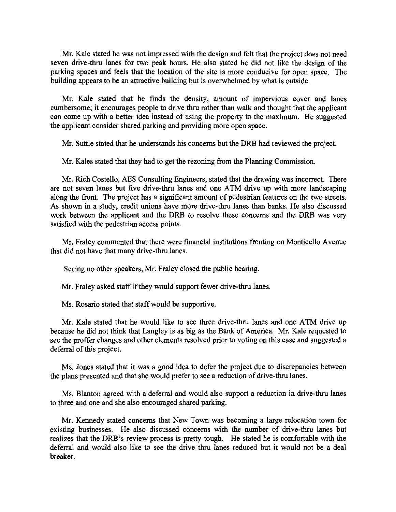Mr. Kale stated he was not impressed with the design and felt that the project does not need seven drive-thru lanes for two peak hours. He also stated he did not like the design of the parking spaces and feels that the location of the site is more conducive for open space. The building appears to be an attractive building but is overwhelmed by what is outside.

Mr. Kale stated that he finds the density, amount of impervious cover and lanes cumbersome; it encourages people to drive thru rather than walk and thought that the applicant can come up with a better idea instead of using the property to the maximum. He suggested the applicant consider shared parking and providing more open space.

Mr. Suttle stated that he understands his concerns but the DRB had reviewed the project.

Mr. Kales stated that they had to get the rezoning from the Planning Commission.

Mr. Rich Costello, AES Consulting Engineers, stated that the drawing was incorrect. There are not seven lanes but five drive-thru lanes and one ATM drive up with more landscaping along the front. The project has a significant amount of pedestrian features on the two streets. As shown in a study, credit unions have more drive-thru lanes than banks. He also discussed work between the applicant and the DRB to resolve these concerns and the DRB was very satisfied with the pedestrian access points.

Mr. Fraley commented that there were financial institutions fronting on Monticello Avenue that did not have that many drive-thru lanes.

Seeing no other speakers, Mr. Fraley closed the public hearing.

Mr. Fraley asked staff if they would support fewer drive-thru lanes.

Ms. Rosario stated that staff would be supportive.

Mr. Kale stated that he would like to see three drive-thru lanes and one ATM drive up because he did not think that Langley is as big as the Bank of America. Mr. Kale requested to see the proffer changes and other elements resolved prior to voting on this case and suggested a deferral of this project.

Ms. Jones stated that it was a good idea to defer the project due to discrepancies between the plans presented and that she would prefer to see a reduction of drive-thru lanes.

Ms. Blanton agreed with a deferral and would also support a reduction in drive-thru lanes to three and one and she also encouraged shared parking.

Mr. Kennedy stated concerns that New Town was becoming a large relocation town for existing businesses. He also discussed concerns with the number of drive-thru lanes but realizes that the DRB's review process is pretty tough. He stated he is comfortable with the deferral and would also like to see the drive thru lanes reduced but it would not be a deal breaker.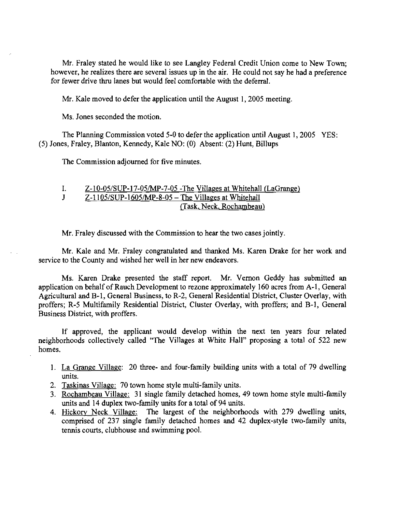Mr. Fraley stated he would like to see Langley Federal Credit Union come to New Town; however, he realizes there are several issues up in the air. He could not say he had a preference for fewer drive thru lanes but would feel comfortable with the deferral.

Mr. Kale moved to defer the application until the August I, 2005 meeting.

Ms. Jones seconded the motion.

The Planning Commission voted 5-0 to defer the application until August I, 2005 YES: (5) Jones, Fraley, Blanton, Kennedy, Kale NO: (0) Absent: (2) Hunt, Billups

The Commission adjourned for five minutes.

1.  $Z-10-05/SUP-17-05/MP-7-05$  -The Villages at Whitehall (LaGrange) J  $Z-1105/SUP-1605/MP-8-05 - The Villages at Whitchall$ (Task, Neck, Rochambeau)

Mr. Fraley discussed with the Commission to hear the two cases jointly.

Mr. Kale and Mr. Fraley congratulated and thanked Ms. Karen Drake for her work and service to the County and wished her well in her new endeavors.

Ms. Karen Drake presented the staff report. Mr. Vernon Geddy has submitted an application on behalf of Rauch Development to rezone approximately 160 acres from A-1, General Agricultural and B-1, General Business, to R-2, General Residential District, Cluster Overlay, with proffers; R-5 Multifamily Residential District, Cluster Overlay, with proffers; and B-1, General Business District, with proffers.

If approved, the applicant would develop within the next ten years four related neighborhoods collectively called "The Villages at White Hall" proposing a total of 522 new homes.

- I. La Grange Village: 20 three- and four-family building units with a total of 79 dwelling units.
- 2. Taskinas Village: 70 town home style multi-family units.
- 3. Rochambeau Village: 31 single family detached homes, 49 town horne style multi-family units and 14 duplex two-family units for a total of 94 units.
- 4. Hickory Neck Village: The largest of the neighborhoods with 279 dwelling units, comprised of 237 single family detached homes and 42 duplex-style two-family units, tennis courts, clubhouse and swimming pool.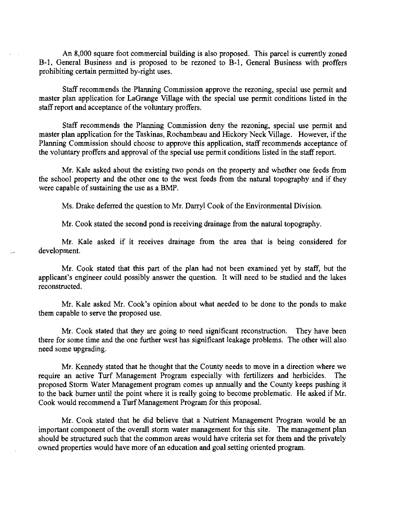An 8,000 square foot commercial building is also proposed. This parcel is currently zoned B-1, General Business and is proposed to be rezoned to B-1, General Business with proffers prohibiting certain permitted by-right uses.

Staff recommends the Planning Commission approve the rezoning, special use permit and master plan application for LaGrange Village with the special use permit conditions listed in the staff report and acceptance of the voluntary proffers.

Staff recommends the Planning Commission deny the rezoning, special use permit and master plan application for the Taskinas, Rochambeau and Hickory Neck Village. However, if the Planning Commission should choose to approve this application, staff recommends acceptance of the voluntary proffers and approval of the special use permit conditions listed in the staff report.

Mr. Kale asked about the existing two ponds on the property and whether one feeds from the school property and the other one to the west feeds from the natural topography and if they were capable of sustaining the use as a BMP.

Ms. Drake deferred the question to Mr. Darryl Cook of the Environmental Division.

Mr. Cook stated the second pond is receiving drainage from the natural topography.

Mr. Kale asked if it receives drainage from the area that is being considered for development.

Mr. Cook stated that this part of the plan had not been examined yet by staff, but the applicant's engineer could possibly answer the question. It will need to be studied and the lakes reconstructed.

Mr. Kale asked Mr. Cook's opinion about what needed to be done to the ponds to make them capable to serve the proposed use.

Mr. Cook stated that they are going to need significant reconstruction. They have been there for some time and the one further west has significant leakage problems. The other will also need some upgrading.

Mr. Kennedy stated that he thought that the County needs to move in a direction where we require an active Turf Management Program especially with fertilizers and herbicides. The proposed Storm Water Management program comes up annually and the County keeps pushing it to the back burner until the point where it is really going to become problematic. He asked if Mr. Cook would recommend a Turf Management Program for this proposal.

Mr. Cook stated that he did believe that a Nutrient Management Program would be an important component of the overall storm water management for this site. The management plan should be structured such that the common areas would have criteria set for them and the privately owned properties would have more of an education and goal setting oriented program.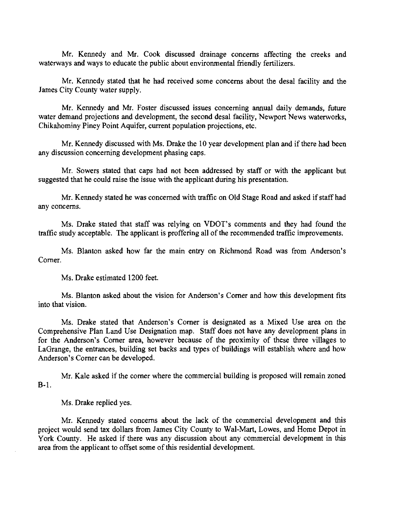Mr. Kennedy and Mr. Cook discussed drainage concerns affecting the creeks and waterways and ways to educate the public about environmental friendly fertilizers.

Mr. Kennedy stated that he had received some concerns about the desal facility and the James City County water supply.

Mr. Kennedy and Mr. Foster discussed issues concerning annual daily demands, future water demand projections and development, the second desal facility, Newport News waterworks, Chikahominy Piney Point Aquifer, current population projections, etc.

Mr. Kennedy discussed with Ms. Drake the 10 year development plan and if there had been any discussion concerning development phasing caps.

Mr. Sowers stated that caps had not been addressed by staff or with the applicant but suggested that he could raise the issue with the applicant during his presentation.

Mr. Kennedy stated he was concerned with traffic on Old Stage Road and asked if staff had any concerns.

Ms. Drake stated that staff was relying on VDOT's comments and they had found the traffic study acceptable. The applicant is proffering all of the recommended traffic improvements.

Ms. Blanton asked how far the main entry on Richmond Road was from Anderson's Comer.

Ms. Drake estimated 1200 feet.

Ms. Blanton asked about the vision for Anderson's Comer and how this development fits into that vision.

Ms. Drake stated that Anderson's Comer is designated as a Mixed Use area on the Comprehensive Plan Land Use Designation map. Staff does not have any development plans in for the Anderson's Comer area, however because of the proximity of these three villages to LaGrange, the entrances, building set backs and types of buildings will establish where and how Anderson's Comer can be developed.

Mr. Kale asked if the comer where the commercial building is proposed will remain zoned B-1.

Ms. Drake replied yes.

Mr. Kennedy stated concerns about the lack of the commercial development and this project would send tax dollars from James City County to Wal-Mart, Lowes, and Home Depot in York County. He asked if there was any discussion about any commercial development in this area from the applicant to offset some of this residential development.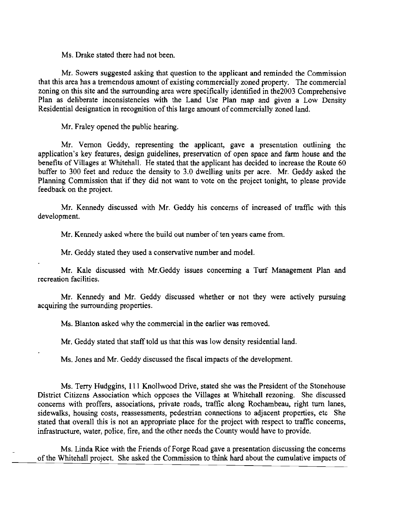Ms. Drake stated there had not been.

Mr. Sowers suggested asking that question to the applicant and reminded the Commission that this area has a tremendous amount of existing commercially zoned property. The commercial zoning on this site and the surrounding area were specifically identified in the2003 Comprehensive Plan as deliberate inconsistencies with the Land Use Plan map and given a Low Density Residential designation in recognition of this large amount of commercially zoned land.

Mr. Fraley opened the public hearing.

Mr. Vernon Geddy, representing the applicant, gave a presentation outlining the application's key features, design guidelines, preservation of open space and farm house and the benefits of Villages at Whitehall. He stated that the applicant has decided to increase the Route 60 buffer to 300 feet and reduce the density to 3.0 dwelling units per acre. Mr. Geddy asked the Planning Commission that if they did not want to vote on the project tonight, to please provide feedback on the project.

Mr. Kennedy discussed with Mr. Geddy his concerns of increased of traffic with this development.

Mr. Kennedy asked where the build out number of ten years came from.

Mr. Geddy stated they used a conservative number and model.

Mr. Kale discussed with Mr.Geddy issues concerning a Turf Management Plan and recreation facilities.

Mr. Kennedy and Mr. Geddy discussed whether or not they were actively pursuing acquiring the surrounding properties.

Ms. Blanton asked why the commercial in the earlier was removed.

Mr. Geddy stated that staff told us that this was low density residential land.

Ms. Jones and Mr. Geddy discussed the fiscal impacts of the development.

Ms. Terry Hudggins, 111 Knollwood Drive, stated she was the President of the Stonehouse District Citizens Association which opposes the Villages at Whitehall rezoning. She discussed concerns with proffers, associations, private roads, traffic along Rochambeau, right turn lanes, sidewalks, housing costs, reassessments, pedestrian connections to adjacent properties, etc She stated that overall this is not an appropriate place for the project with respect to traffic concerns, infrastructure, water, police, fire, and the other needs the County would have to provide.

Ms. Linda Rice with the Friends of Forge Road gave a presentation discussing the concerns of the Whitehall project. She asked the Commission to think hard about the cumulative impacts of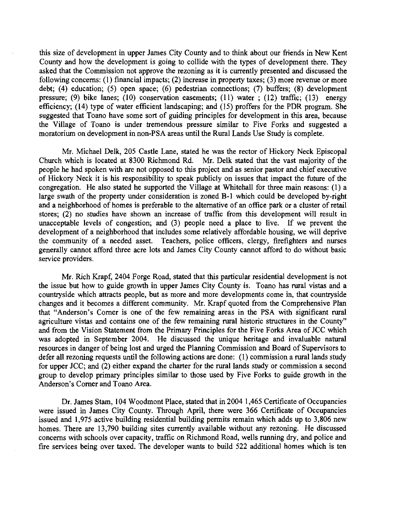this size of development in upper James City County and to think about our friends in New Kent County and how the development is going to collide with the types of development there. They asked that the Commission not approve the rezoning as it is currently presented and discussed the following concerns: (I) financial impacts; (2) increase in property taxes; (3) more revenue or more debt; (4) education; (5) open space; (6) pedestrian connections; (7) buffers; (8) development pressure; (9) bike lanes; (10) conservation easements; (11) water; (12) traffic; (13) energy efficiency; (14) type of water efficient landscaping; and (15) proffers for the PDR program. She suggested that Toano have some sort of guiding principles for development in this area, because the Village of Toano is under tremendous pressure similar to Five Forks and suggested a moratorium on development in non-PSA areas until the Rural Lands Use Study is complete.

Mr. Michael Delk, 205 Castle Lane, stated he was the rector of Hickory Neck Episcopal Church which is located at 8300 Richmond Rd. Mr. Delk stated that the vast majority of the people he had spoken with are not opposed to this project and as senior pastor and chief executive of Hickory Neck it is his responsibility to speak publicly on issues that impact the future of the congregation. He also stated he supported the Village at Whitehall for three main reasons: (I) a large swath of the property under consideration is zoned B-1 which could be developed by-right and a neighborhood of homes is preferable to the alternative of an office park or a cluster of retail stores; (2) no studies have shown an increase of traffic from this development will result in unacceptable levels of congestion; and (3) people need a place to live. If we prevent the development of a neighborhood that includes some relatively affordable housing, we will deprive the community of a needed asset. Teachers, police officers, clergy, firefighters and nurses generally cannot afford three acre lots and James City County cannot afford to do without basic service providers.

Mr. Rich Krapf, 2404 Forge Road, stated that this particular residential development is not the issue but how to guide growth in upper James City County is. Toano has rural vistas and a countryside which attracts people, but as more and more developments come in, that countryside changes and it becomes a different community. Mr. Krapf quoted from the Comprehensive Plan that "Anderson's Comer is one of the few remaining areas in the PSA with significant rural agriculture vistas and contains one of the few remaining rural historic structures in the County" and from the Vision Statement from the Primary Principles for the Five Forks Area of JCC which was adopted in September 2004. He discussed the unique heritage and invaluable natural resources in danger of being lost and urged the Planning Commission and Board of Supervisors to defer all rezoning requests until the following actions are done: (I) commission a rural lands study for upper JCC; and (2) either expand the charter for the rural lands study or commission a second group to develop primary principles similar to those used by Five Forks to guide growth in the Anderson's Comer and Toano Area.

Dr. James Stam, 104 Woodmont Place, stated that in 2004 1,465 Certificate of Occupancies were issued in James City County. Through April, there were 366 Certificate of Occupancies issued and 1,975 active building residential building permits remain which adds up to 3,806 new homes. There are 13,790 building sites currently available without any rezoning. He discussed concerns with schools over capacity, traffic on Richmond Road, wells running dry, and police and fire services being over taxed. The developer wants to build 522 additional homes which is ten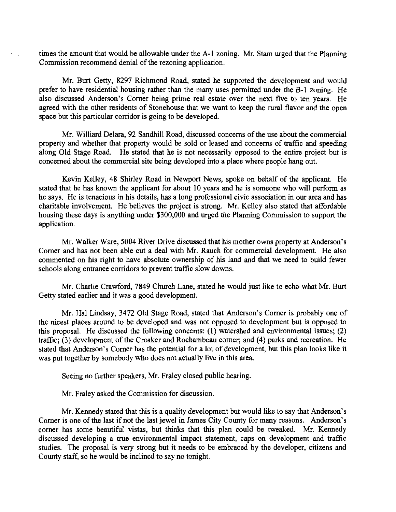times the amount that would be allowable under the A-1 zoning. Mr. Stam urged that the Planning Commission recommend denial of the rezoning application.

Mr. Burt Getty, 8297 Richmond Road, stated he supported the development and would prefer to have residential housing rather than the many uses permitted under the B-I zoning. He also discussed Anderson's Corner being prime real estate over the next five to ten years. He agreed with the other residents of Stonehouse that we want to keep the rural flavor and the open space but this particular corridor is going to be developed.

Mr. Williard Delara, 92 Sandhill Road, discussed concerns ofthe use about the commercial property and whether that property would be sold or leased and concerns of traffic and speeding along Old Stage Road. He stated that he is not necessarily opposed to the entire project but is concerned about the commercial site being developed into a place where people hang out.

Kevin Kelley, 48 Shirley Road in Newport News, spoke on behalf of the applicant. He stated that he has known the applicant for about 10 years and he is someone who will perform as he says. He is tenacious in his details, has a long professional civic association in our area and has charitable involvement. He believes the project is strong. Mr. Kelley also stated that affordable housing these days is anything under \$300,000 and urged the Planning Commission to support the application.

Mr. Walker Ware, 5004 River Drive discussed that his mother owns property at Anderson's Corner and has not been able cut a deal with Mr. Rauch for commercial development. He also commented on his right to have absolute ownership of his land and that we need to build fewer schools along entrance corridors to prevent traffic slow downs.

Mr. Charlie Crawford, 7849 Church Lane, stated he would just like to echo what Mr. Burt Getty stated earlier and it was a good development.

Mr. Hal Lindsay, 3472 Old Stage Road, stated that Anderson's Corner is probably one of the nicest places around to be developed and was not opposed to development but is opposed to this proposal. He discussed the following concerns: (I) watershed and environmental issues; (2) traffic; (3) development of the Croaker and Rochambeau corner; and (4) parks and recreation. He stated that Anderson's Corner has the potential for a lot of development, but this plan looks like it was put together by somebody who does not actually live in this area.

Seeing no further speakers, Mr. Fraley closed public hearing.

Mr. Fraley asked the Commission for discussion.

Mr. Kennedy stated that this is a quality development but would like to say that Anderson's Corner is one of the last if not the last jewel in James City County for many reasons. Anderson's corner has some beautiful vistas, but thinks that this plan could be tweaked. Mr. Kennedy discussed developing a true environmental impact statement, caps on development and traffic studies. The proposal is very strong but it needs to be embraced by the developer, citizens and County staff, so he would be inclined to say no tonight.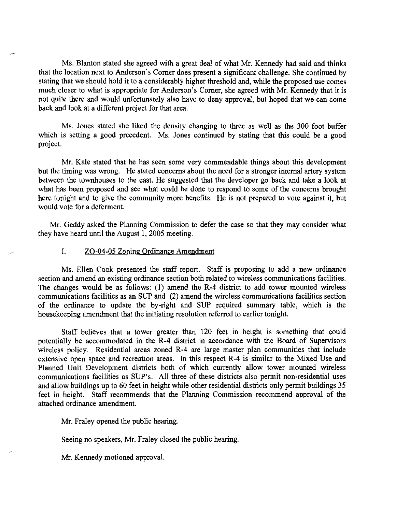Ms. Blanton stated she agreed with a great deal of what Mr. Kennedy had said and thinks that the location next to Anderson's Comer does present a significant challenge. She continued by stating that we should hold it to a considerably higher threshold and, while the proposed use comes much closer to what is appropriate for Anderson's Comer, she agreed with Mr. Kennedy that it is not quite there and would unfortunately also have to deny approval, but hoped that we can come back and look at a different project for that area.

Ms. Jones stated she liked the density changing to three as well as the 300 foot buffer which is setting a good precedent. Ms. Jones continued by stating that this could be a good project.

Mr. Kale stated that he has seen some very commendable things about this development but the timing was wrong. He stated concerns about the need for a stronger internal artery system between the townhouses to the east. He suggested that the developer go back and take a look at what has been proposed and see what could be done to respond to some of the concerns brought here tonight and to give the community more benefits. He is not prepared to vote against it, but would vote for a deferment,

Mr. Geddy asked the Planning Commission to defer the case so that they may consider what they have heard until the August I, 2005 meeting.

#### I. ZO-04-05 Zoning Ordinance Amendment

Ms. Ellen Cook presented the staff report. Staff is proposing to add a new ordinance section and amend an existing ordinance section both related to wireless communications facilities. The changes would be as follows: (I) amend the R-4 district to add tower mounted wireless communications facilities as an SUP and (2) amend the wireless communications facilities section of the ordinance to update the by-right and SUP required summary table, which is the housekeeping amendment that the initiating resolution referred to earlier tonight.

Staff believes that a tower greater than 120 feet in height is something that could potentially be accommodated in the R-4 district in accordance with the Board of Supervisors wireless policy. Residential areas zoned R-4 are large master plan communities that include extensive open space and recreation areas. **In** this respect R-4 is similar to the Mixed Use and Planned Unit Development districts both of which currently allow tower mounted wireless communications facilities as SUP's. All three of these districts also pennit non-residential uses and allow buildings up to 60 feet in height while other residential districts only permit buildings 35 feet in height. Staff recommends that the Planning Commission recommend approval of the attached ordinance amendment.

Mr. Fraley opened the public hearing.

Seeing no speakers, Mr. Fraley closed the public hearing.

Mr. Kennedy motioned approval.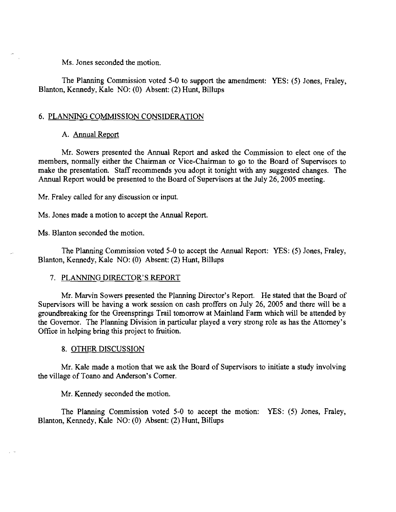Ms. Jones seconded the motion.

The Planning Commission voted 5-0 to support the amendment: YES: (5) Jones, Fraley, Blanton, Kennedy, Kale NO: (0) Absent: (2) Hunt, Billups

### 6. PLANNING COMMISSION CONSIDERATION

### A. Annual Report

Mr. Sowers presented the Annual Report and asked the Commission to elect one of the members, normally either the Chairman or Vice-Chairman to go to the Board of Supervisors to make the presentation. Staff recommends you adopt it tonight with any suggested changes. The Annual Report would be presented to the Board of Supervisors at the July 26, 2005 meeting.

Mr. Fraley called for any discussion or input.

Ms. Jones made a motion to accept the Annual Report.

Ms. Blanton seconded the motion.

The Planning Commission voted 5-0 to accept the Annual Report: YES: (5) Jones, Fraley, Blanton, Kennedy, Kale NO: (0) Absent: (2) Hunt, Billups

#### 7. PLANNING DIRECTOR'S REPORT

Mr. Marvin Sowers presented the Planning Director's Report. He stated that the Board of Supervisors will be having a work session on cash proffers on July 26, 2005 and there will be a groundbreaking for the Greensprings Trail tomorrow at Mainland Farm which will be attended by the Governor. The Planning Division in particular played a very strong role as has the Attorney's Office in helping bring this project to fruition.

#### 8. OTHER DISCUSSION

Mr. Kale made a motion that we ask the Board of Supervisors to initiate a study involving the village of Toano and Anderson's Corner.

#### Mr. Kennedy seconded the motion.

The Planning Commission voted 5-0 to accept the motion: YES: (5) Jones, Fraley, Blanton, Kennedy, Kale NO: (0) Absent: (2) Hunt, Billups